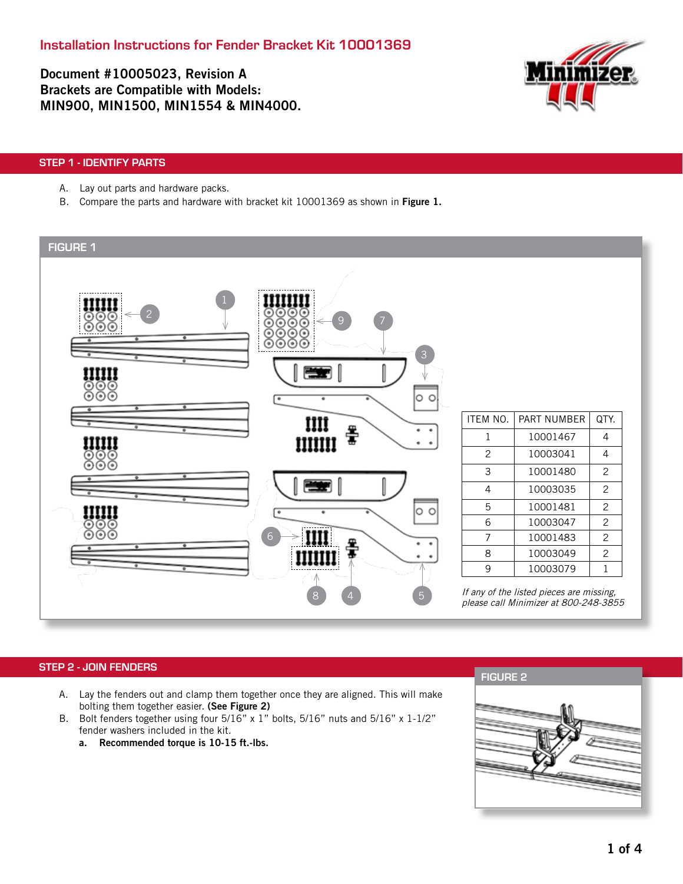Document #10005023, Revision A Brackets are Compatible with Models: MIN900, MIN1500, MIN1554 & MIN4000.



## STEP 1 - IDENTIFY PARTS

- A. Lay out parts and hardware packs.
- B. Compare the parts and hardware with bracket kit 10001369 as shown in Figure 1.



## STEP 2 - JOIN FENDERS

- A. Lay the fenders out and clamp them together once they are aligned. This will make bolting them together easier. (See Figure 2)
- B. Bolt fenders together using four 5/16" x 1" bolts, 5/16" nuts and 5/16" x 1-1/2" fender washers included in the kit.
	- a. Recommended torque is 10-15 ft.-lbs.

FIGURE 2

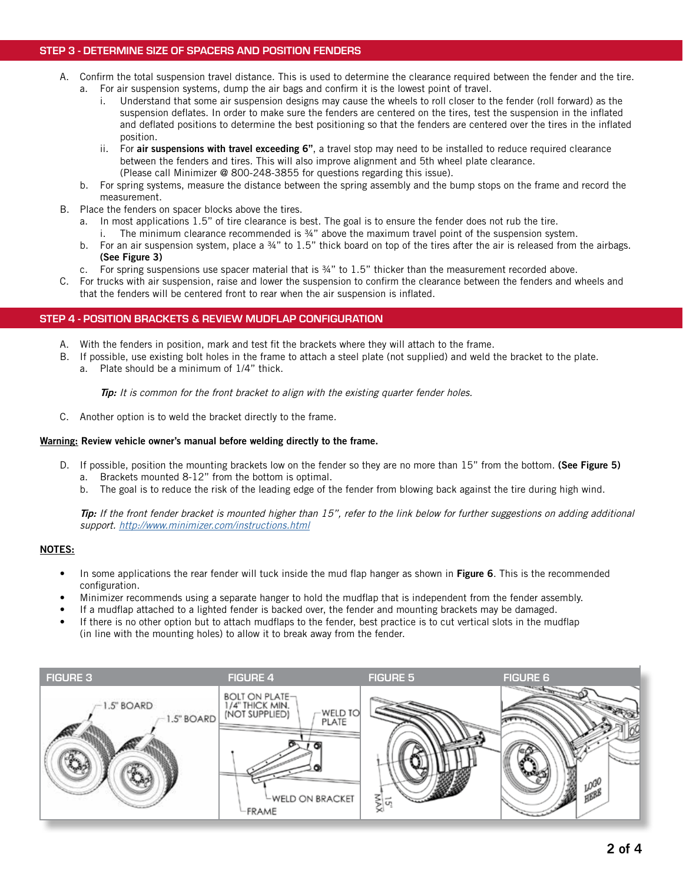# STEP 3 - DETERMINE SIZE OF SPACERS AND POSITION FENDERS

- A. Confirm the total suspension travel distance. This is used to determine the clearance required between the fender and the tire. a. For air suspension systems, dump the air bags and confirm it is the lowest point of travel.
	- i. Understand that some air suspension designs may cause the wheels to roll closer to the fender (roll forward) as the suspension deflates. In order to make sure the fenders are centered on the tires, test the suspension in the inflated and deflated positions to determine the best positioning so that the fenders are centered over the tires in the inflated position.
	- ii. For air suspensions with travel exceeding 6", a travel stop may need to be installed to reduce required clearance between the fenders and tires. This will also improve alignment and 5th wheel plate clearance. (Please call Minimizer @ 800-248-3855 for questions regarding this issue).
	- b. For spring systems, measure the distance between the spring assembly and the bump stops on the frame and record the measurement.
- B. Place the fenders on spacer blocks above the tires.
	- a. In most applications 1.5" of tire clearance is best. The goal is to ensure the fender does not rub the tire. i. The minimum clearance recommended is ¾" above the maximum travel point of the suspension system.
	- b. For an air suspension system, place a  $\frac{3}{4}$ " to 1.5" thick board on top of the tires after the air is released from the airbags. (See Figure 3)
	- c. For spring suspensions use spacer material that is ¾" to 1.5" thicker than the measurement recorded above.
- C. For trucks with air suspension, raise and lower the suspension to confirm the clearance between the fenders and wheels and that the fenders will be centered front to rear when the air suspension is inflated.

### STEP 4 - POSITION BRACKETS & REVIEW MUDFLAP CONFIGURATION

- A. With the fenders in position, mark and test fit the brackets where they will attach to the frame.
- B. If possible, use existing bolt holes in the frame to attach a steel plate (not supplied) and weld the bracket to the plate.
	- a. Plate should be a minimum of 1/4" thick.

**Tip:** It is common for the front bracket to align with the existing quarter fender holes.

C. Another option is to weld the bracket directly to the frame.

#### Warning: Review vehicle owner's manual before welding directly to the frame.

- D. If possible, position the mounting brackets low on the fender so they are no more than 15" from the bottom. (See Figure 5)
	- a. Brackets mounted 8-12" from the bottom is optimal.
	- b. The goal is to reduce the risk of the leading edge of the fender from blowing back against the tire during high wind.

Tip: If the front fender bracket is mounted higher than 15", refer to the link below for further suggestions on adding additional support. http://www.minimizer.com/instructions.html

#### NOTES:

- In some applications the rear fender will tuck inside the mud flap hanger as shown in Figure 6. This is the recommended configuration.
- Minimizer recommends using a separate hanger to hold the mudflap that is independent from the fender assembly.
- If a mudflap attached to a lighted fender is backed over, the fender and mounting brackets may be damaged.
- If there is no other option but to attach mudflaps to the fender, best practice is to cut vertical slots in the mudflap (in line with the mounting holes) to allow it to break away from the fender.

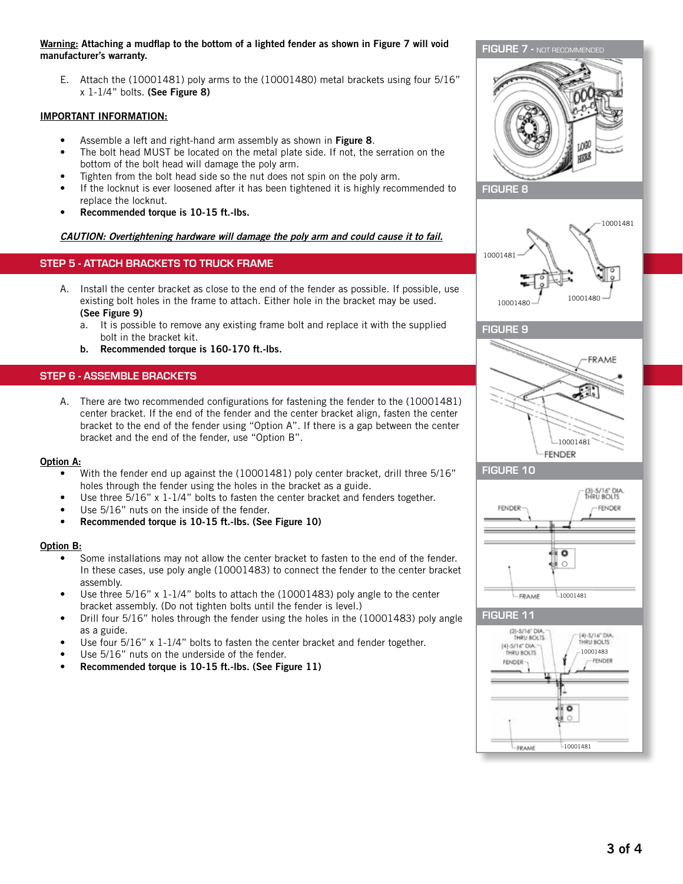#### Warning: Attaching a mudflap to the bottom of a lighted fender as shown in Figure 7 will void manufacturer's warranty.

E. Attach the (10001481) poly arms to the (10001480) metal brackets using four 5/16" x 1-1/4" bolts. (See Figure 8)

## IMPORTANT INFORMATION:

- Assemble a left and right-hand arm assembly as shown in Figure 8.
- The bolt head MUST be located on the metal plate side. If not, the serration on the bottom of the bolt head will damage the poly arm.
- Tighten from the bolt head side so the nut does not spin on the poly arm.
- If the locknut is ever loosened after it has been tightened it is highly recommended to replace the locknut.
- Recommended torque is 10-15 ft.-lbs.

## CAUTION: Overtightening hardware will damage the poly arm and could cause it to fail.

# STEP 5 - ATTACH BRACKETS TO TRUCK FRAME

- A. Install the center bracket as close to the end of the fender as possible. If possible, use existing bolt holes in the frame to attach. Either hole in the bracket may be used. (See Figure 9)
	- a. It is possible to remove any existing frame bolt and replace it with the supplied bolt in the bracket kit.
	- b. Recommended torque is 160-170 ft.-lbs.

## STEP 6 - ASSEMBLE BRACKETS

A. There are two recommended configurations for fastening the fender to the (10001481) center bracket. If the end of the fender and the center bracket align, fasten the center bracket to the end of the fender using "Option A". If there is a gap between the center bracket and the end of the fender, use "Option B".

#### Option A:

- With the fender end up against the (10001481) poly center bracket, drill three 5/16" holes through the fender using the holes in the bracket as a guide.
- Use three 5/16" x 1-1/4" bolts to fasten the center bracket and fenders together.
- Use 5/16" nuts on the inside of the fender.
- Recommended torque is 10-15 ft.-lbs. (See Figure 10)

### Option B:

- Some installations may not allow the center bracket to fasten to the end of the fender. In these cases, use poly angle (10001483) to connect the fender to the center bracket assembly.
- Use three  $5/16$ " x 1-1/4" bolts to attach the (10001483) poly angle to the center bracket assembly. (Do not tighten bolts until the fender is level.)
- Drill four 5/16" holes through the fender using the holes in the (10001483) poly angle as a guide.
- Use four 5/16" x 1-1/4" bolts to fasten the center bracket and fender together.
- Use 5/16" nuts on the underside of the fender.
- Recommended torque is 10-15 ft.-lbs. (See Figure 11)